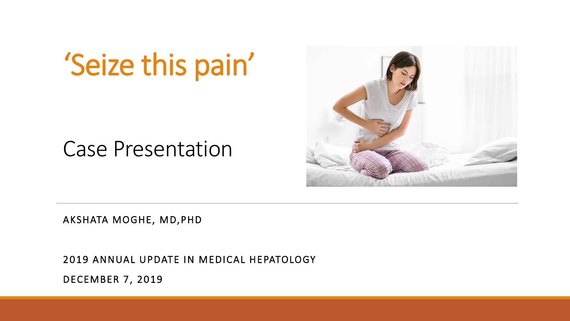# 'Seize this pain'

### Case Presentation



AKSHATA MOGHE, MD,PHD

2019 ANNUAL UPDATE IN MEDICAL HEPATOLOGY

DECEMBER 7, 2019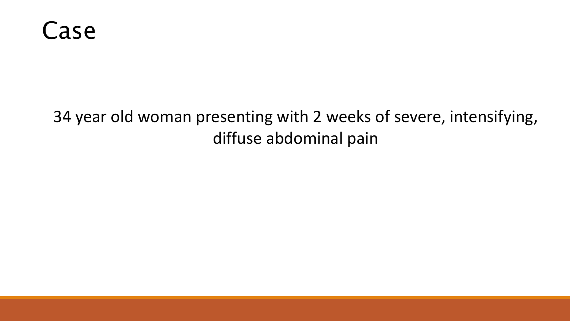

#### 34 year old woman presenting with 2 weeks of severe, intensifying, diffuse abdominal pain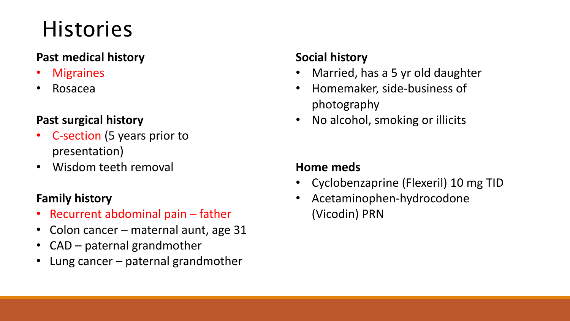## **Histories**

#### **Past medical history**

- **Migraines**
- Rosacea

#### **Past surgical history**

- C-section (5 years prior to presentation)
- Wisdom teeth removal

#### **Family history**

- Recurrent abdominal pain father
- Colon cancer maternal aunt, age 31
- CAD paternal grandmother
- Lung cancer  $-$  paternal grandmother

#### **Social history**

- Married, has a 5 yr old daughter
- Homemaker, side-business of photography
- No alcohol, smoking or illicits

#### **Home meds**

- Cyclobenzaprine (Flexeril) 10 mg TID
- Acetaminophen-hydrocodone (Vicodin) PRN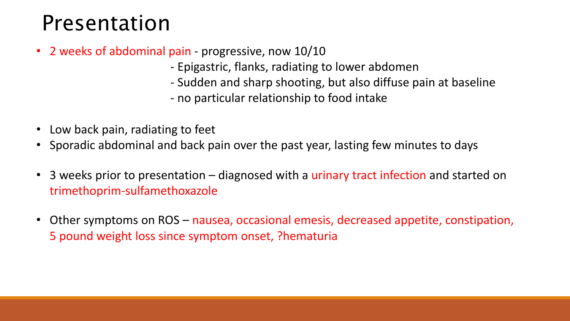### Presentation

- 2 weeks of abdominal pain progressive, now 10/10
	- Epigastric, flanks, radiating to lower abdomen
	- Sudden and sharp shooting, but also diffuse pain at baseline
	- no particular relationship to food intake
- Low back pain, radiating to feet
- Sporadic abdominal and back pain over the past year, lasting few minutes to days
- 3 weeks prior to presentation diagnosed with a urinary tract infection and started on trimethoprim-sulfamethoxazole
- Other symptoms on ROS nausea, occasional emesis, decreased appetite, constipation, 5 pound weight loss since symptom onset, ?hematuria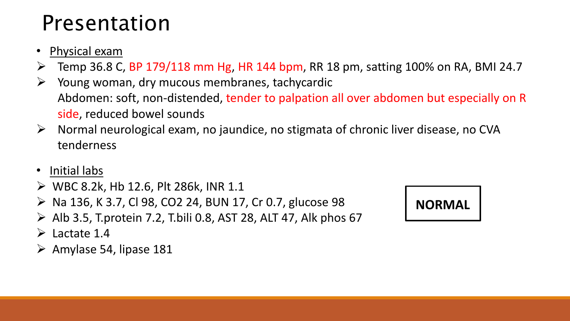## Presentation

#### • Physical exam

- Temp 36.8 C, BP 179/118 mm Hg, HR 144 bpm, RR 18 pm, satting 100% on RA, BMI 24.7
- Young woman, dry mucous membranes, tachycardic Abdomen: soft, non-distended, tender to palpation all over abdomen but especially on R side, reduced bowel sounds
- $\triangleright$  Normal neurological exam, no jaundice, no stigmata of chronic liver disease, no CVA tenderness
- Initial labs
- $\triangleright$  WBC 8.2k, Hb 12.6, Plt 286k, INR 1.1
- $\triangleright$  Na 136, K 3.7, CI 98, CO2 24, BUN 17, Cr 0.7, glucose 98
- $\triangleright$  Alb 3.5, T.protein 7.2, T.bili 0.8, AST 28, ALT 47, Alk phos 67
- $\triangleright$  Lactate 1.4
- $\triangleright$  Amylase 54, lipase 181

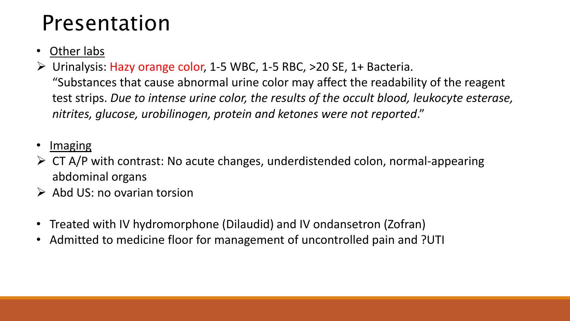## Presentation

#### • Other labs

Urinalysis: Hazy orange color, 1-5 WBC, 1-5 RBC, >20 SE, 1+ Bacteria.

"Substances that cause abnormal urine color may affect the readability of the reagent test strips. *Due to intense urine color, the results of the occult blood, leukocyte esterase, nitrites, glucose, urobilinogen, protein and ketones were not reported*."

#### Imaging

- $\triangleright$  CT A/P with contrast: No acute changes, underdistended colon, normal-appearing abdominal organs
- $\triangleright$  Abd US: no ovarian torsion
- Treated with IV hydromorphone (Dilaudid) and IV ondansetron (Zofran)
- Admitted to medicine floor for management of uncontrolled pain and ?UTI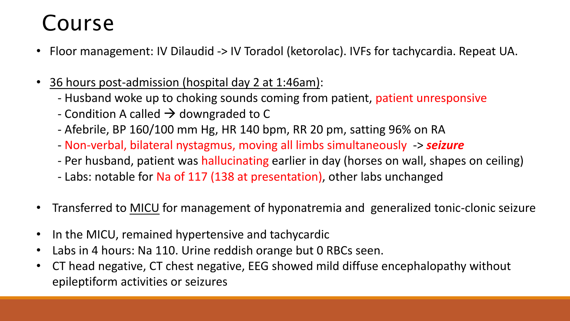## Course

- Floor management: IV Dilaudid -> IV Toradol (ketorolac). IVFs for tachycardia. Repeat UA.
- 36 hours post-admission (hospital day 2 at 1:46am):
	- Husband woke up to choking sounds coming from patient, patient unresponsive
	- Condition A called  $\rightarrow$  downgraded to C
	- Afebrile, BP 160/100 mm Hg, HR 140 bpm, RR 20 pm, satting 96% on RA
	- Non-verbal, bilateral nystagmus, moving all limbs simultaneously -> *seizure*
	- Per husband, patient was hallucinating earlier in day (horses on wall, shapes on ceiling)
	- Labs: notable for Na of 117 (138 at presentation), other labs unchanged
- Transferred to MICU for management of hyponatremia and generalized tonic-clonic seizure
- In the MICU, remained hypertensive and tachycardic
- Labs in 4 hours: Na 110. Urine reddish orange but 0 RBCs seen.
- CT head negative, CT chest negative, EEG showed mild diffuse encephalopathy without epileptiform activities or seizures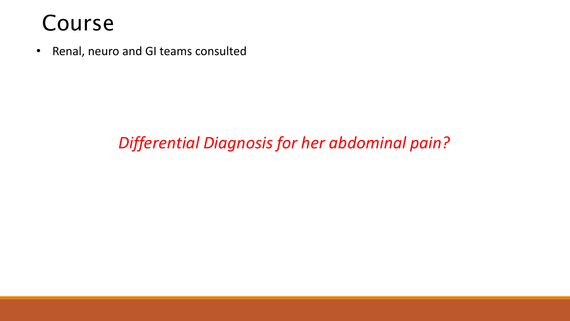### Course

• Renal, neuro and GI teams consulted

#### *Differential Diagnosis for her abdominal pain?*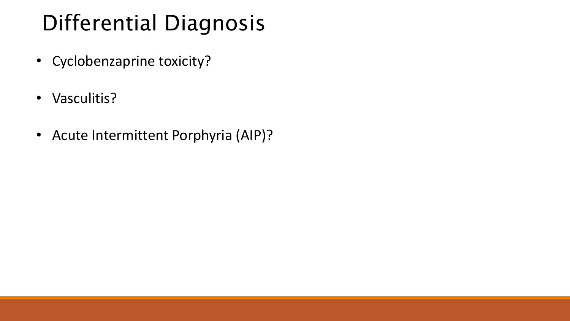## Differential Diagnosis

- Cyclobenzaprine toxicity?
- Vasculitis?
- Acute Intermittent Porphyria (AIP)?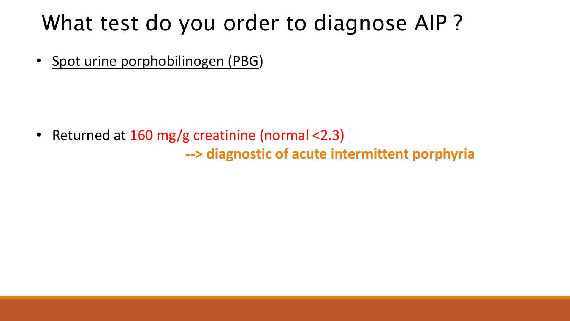### What test do you order to diagnose AIP ?

• Spot urine porphobilinogen (PBG)

• Returned at 160 mg/g creatinine (normal <2.3) **--> diagnostic of acute intermittent porphyria**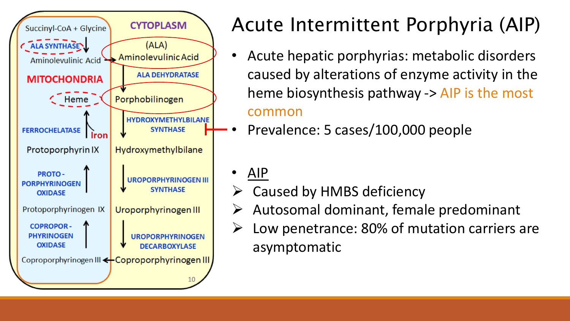

## Acute Intermittent Porphyria (AIP)

• Acute hepatic porphyrias: metabolic disorders caused by alterations of enzyme activity in the heme biosynthesis pathway -> AIP is the most

#### common

- Prevalence: 5 cases/100,000 people
- AIP
- Caused by HMBS deficiency
- Autosomal dominant, female predominant
- $\triangleright$  Low penetrance: 80% of mutation carriers are asymptomatic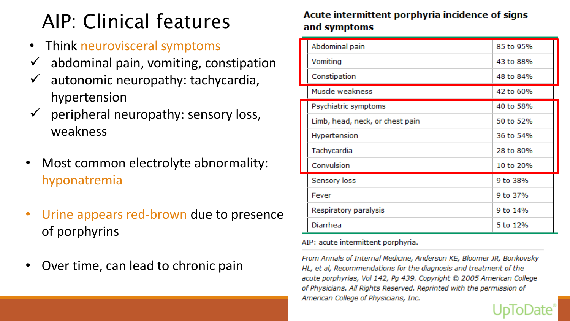## AIP: Clinical features

- Think neurovisceral symptoms
- abdominal pain, vomiting, constipation
- autonomic neuropathy: tachycardia, hypertension
- peripheral neuropathy: sensory loss, weakness
- Most common electrolyte abnormality: hyponatremia
- Urine appears red-brown due to presence of porphyrins
- Over time, can lead to chronic pain

#### Acute intermittent porphyria incidence of signs and symptoms

| Abdominal pain                  | 85 to 95% |
|---------------------------------|-----------|
| Vomiting                        | 43 to 88% |
| Constipation                    | 48 to 84% |
| Muscle weakness                 | 42 to 60% |
| Psychiatric symptoms            | 40 to 58% |
| Limb, head, neck, or chest pain | 50 to 52% |
| Hypertension                    | 36 to 54% |
| Tachycardia                     | 28 to 80% |
| Convulsion                      | 10 to 20% |
| Sensory loss                    | 9 to 38%  |
| Fever                           | 9 to 37%  |
| Respiratory paralysis           | 9 to 14%  |
| Diarrhea                        | 5 to 12%  |

AIP: acute intermittent porphyria.

From Annals of Internal Medicine, Anderson KE, Bloomer JR, Bonkovsky HL, et al, Recommendations for the diagnosis and treatment of the acute porphyrias, Vol 142, Pg 439. Copyright @ 2005 American College of Physicians. All Rights Reserved. Reprinted with the permission of American College of Physicians, Inc.

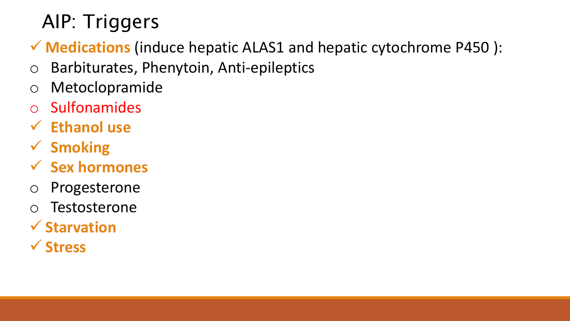### AIP: Triggers

- **Medications** (induce hepatic ALAS1 and hepatic cytochrome P450 ):
- o Barbiturates, Phenytoin, Anti-epileptics
- o Metoclopramide
- Sulfonamides
- **Ethanol use**
- **Smoking**
- **Sex hormones**
- o Progesterone
- o Testosterone
- **Starvation**
- **Stress**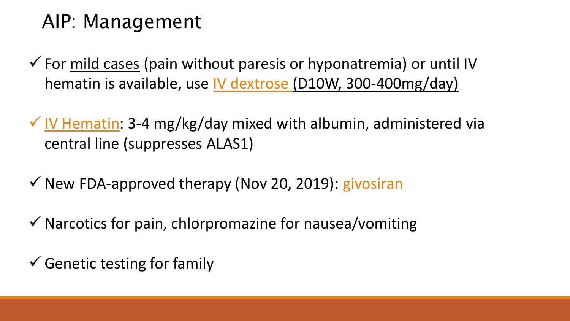### AIP: Management

- $\checkmark$  For mild cases (pain without paresis or hyponatremia) or until IV hematin is available, use IV dextrose (D10W, 300-400mg/day)
- $\checkmark$  IV Hematin: 3-4 mg/kg/day mixed with albumin, administered via central line (suppresses ALAS1)
- $\checkmark$  New FDA-approved therapy (Nov 20, 2019): givosiran
- $\checkmark$  Narcotics for pain, chlorpromazine for nausea/vomiting
- $\checkmark$  Genetic testing for family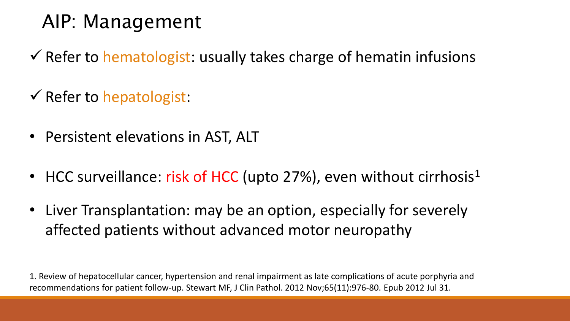### AIP: Management

- $\checkmark$  Refer to hematologist: usually takes charge of hematin infusions
- $\checkmark$  Refer to hepatologist:
- Persistent elevations in AST, ALT
- HCC surveillance: risk of HCC (upto 27%), even without cirrhosis<sup>1</sup>
- Liver Transplantation: may be an option, especially for severely affected patients without advanced motor neuropathy

1. Review of hepatocellular cancer, hypertension and renal impairment as late complications of acute porphyria and recommendations for patient follow-up. Stewart MF, J Clin Pathol. 2012 Nov;65(11):976-80. Epub 2012 Jul 31.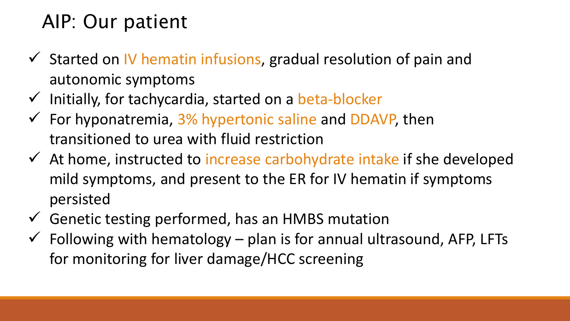### AIP: Our patient

- $\checkmark$  Started on IV hematin infusions, gradual resolution of pain and autonomic symptoms
- $\checkmark$  Initially, for tachycardia, started on a beta-blocker
- $\checkmark$  For hyponatremia, 3% hypertonic saline and DDAVP, then transitioned to urea with fluid restriction
- $\checkmark$  At home, instructed to increase carbohydrate intake if she developed mild symptoms, and present to the ER for IV hematin if symptoms persisted
- $\checkmark$  Genetic testing performed, has an HMBS mutation
- $\checkmark$  Following with hematology plan is for annual ultrasound, AFP, LFTs for monitoring for liver damage/HCC screening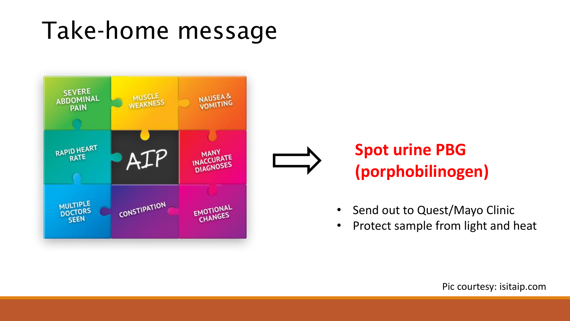## Take-home message



### **Spot urine PBG (porphobilinogen)**

- Send out to Quest/Mayo Clinic
- Protect sample from light and heat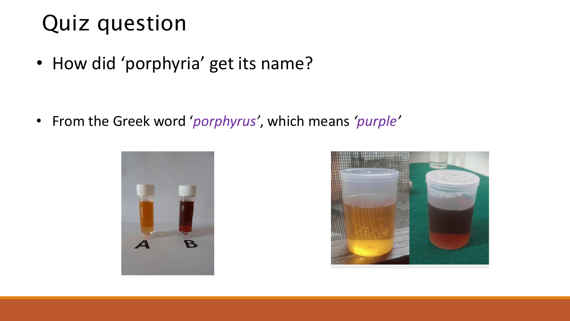## Quiz question

• How did 'porphyria' get its name?

• From the Greek word '*porphyrus'* , which means *'purple'*



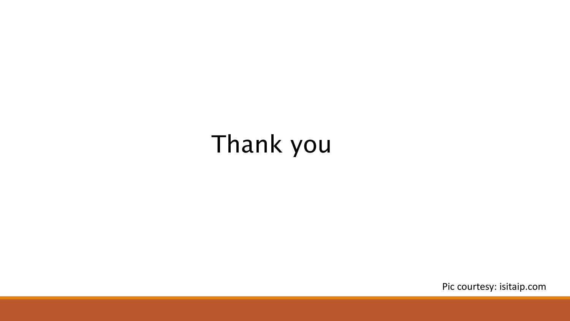## Thank you

Pic courtesy: isitaip.com